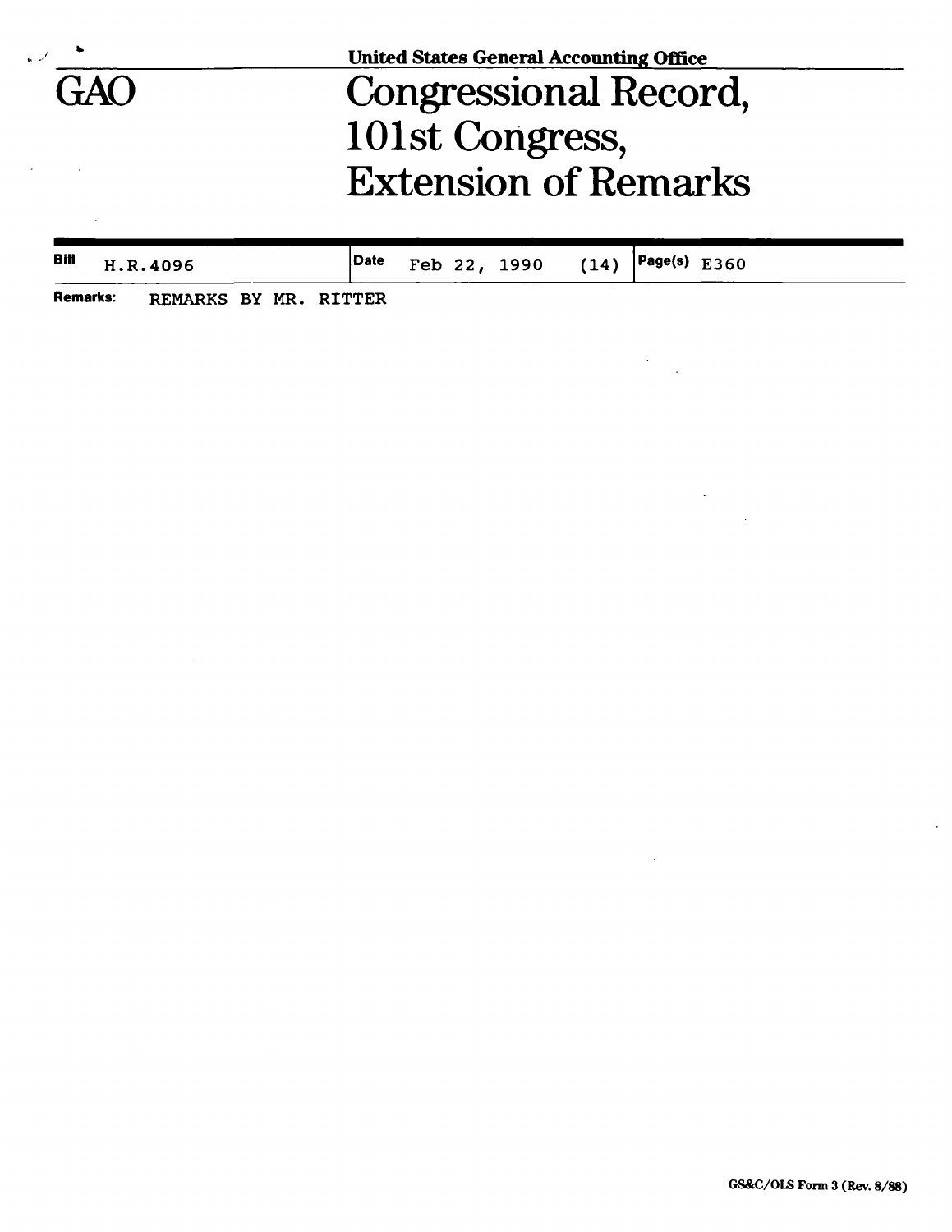|     | <b>United States General Accounting Office</b> |  |  |  |  |  |  |
|-----|------------------------------------------------|--|--|--|--|--|--|
| GAO | Congressional Record,                          |  |  |  |  |  |  |
|     | 101st Congress,                                |  |  |  |  |  |  |
|     | <b>Extension of Remarks</b>                    |  |  |  |  |  |  |
|     |                                                |  |  |  |  |  |  |

| <b>Bill</b> H.R.4096 |  |  | <b>Date</b> Feb 22, 1990 (14) <b>Page(s)</b> E360 |  |  |
|----------------------|--|--|---------------------------------------------------|--|--|
|                      |  |  |                                                   |  |  |

 $\hat{\boldsymbol{\beta}}$ 

 $\bar{z}$ 

 $\label{eq:2} \frac{1}{\sqrt{2}}\frac{d\mathbf{r}}{d\mathbf{r}}\frac{d\mathbf{r}}{d\mathbf{r}}\frac{d\mathbf{r}}{d\mathbf{r}}\frac{d\mathbf{r}}{d\mathbf{r}}\frac{d\mathbf{r}}{d\mathbf{r}}\frac{d\mathbf{r}}{d\mathbf{r}}\frac{d\mathbf{r}}{d\mathbf{r}}\frac{d\mathbf{r}}{d\mathbf{r}}\frac{d\mathbf{r}}{d\mathbf{r}}\frac{d\mathbf{r}}{d\mathbf{r}}\frac{d\mathbf{r}}{d\mathbf{r}}\frac{d\$ 

 $\hat{\mathcal{A}}$ 

**Remarks:** REMARKS BY MR. RITTER

 $\sim 10^7$ 

 $\bar{z}$